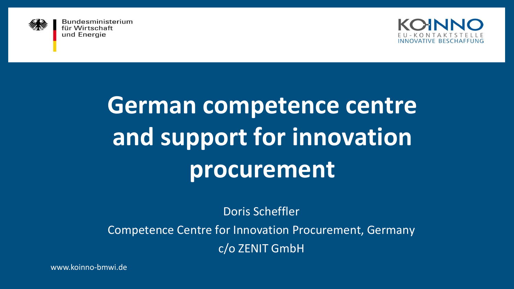



# **German competence centre and support for innovation procurement**

Doris Scheffler

Competence Centre for Innovation Procurement, Germany

c/o ZENIT GmbH

www.koinno-bmwi.de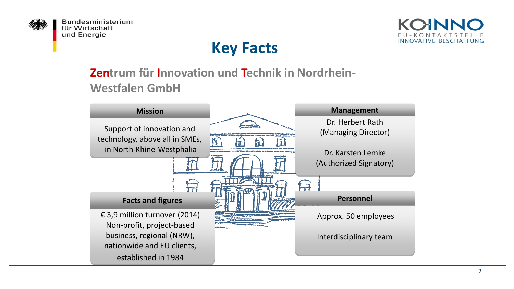



# **Key Facts**

#### **Zentrum für Innovation und Technik in Nordrhein-Westfalen GmbH**

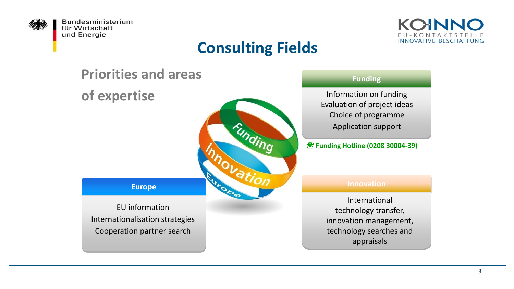



# **Consulting Fields**

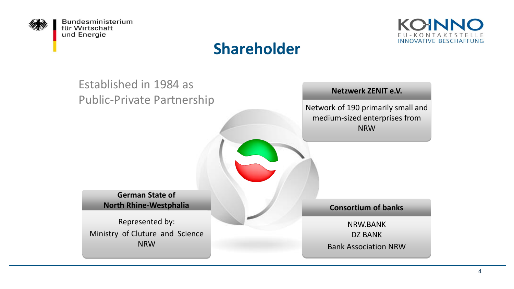



#### **Shareholder**

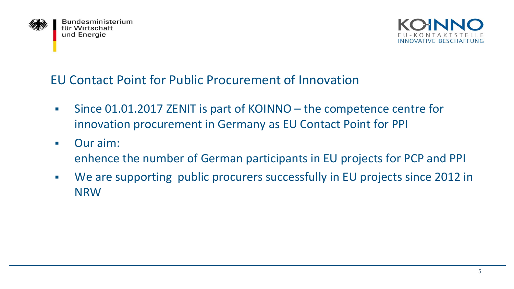



#### EU Contact Point for Public Procurement of Innovation

- Since 01.01.2017 ZENIT is part of KOINNO the competence centre for innovation procurement in Germany as EU Contact Point for PPI
- Our aim: enhence the number of German participants in EU projects for PCP and PPI
- We are supporting public procurers successfully in EU projects since 2012 in NRW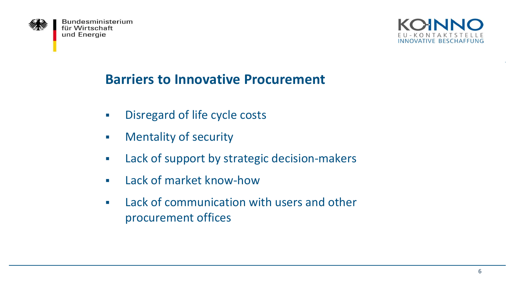



#### **Barriers to Innovative Procurement**

- **EXECUTE:** Disregard of life cycle costs
- **EXECUTE:** Mentality of security
- **EXEC** Lack of support by strategic decision-makers
- **E** Lack of market know-how
- **EXEC** Lack of communication with users and other procurement offices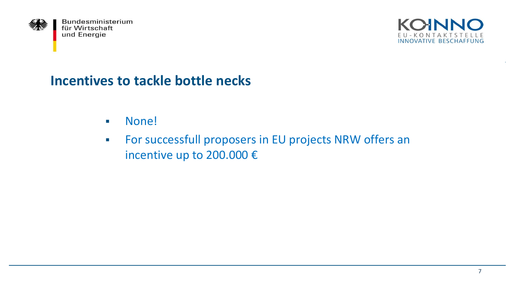



#### **Incentives to tackle bottle necks**

- None!
- **For successfull proposers in EU projects NRW offers an** incentive up to 200.000 €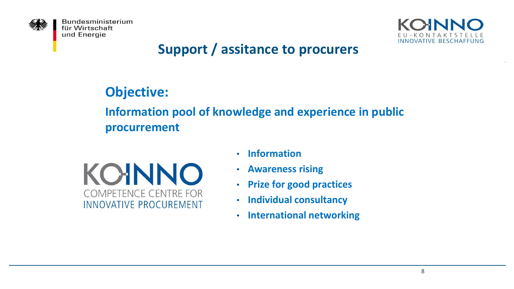



# **Support / assitance to procurers**

# **Objective:**

#### **Information pool of knowledge and experience in public procurrement**



- **Information**
- **Awareness rising**
- **Prize for good practices**
- **Individual consultancy**
- **International networking**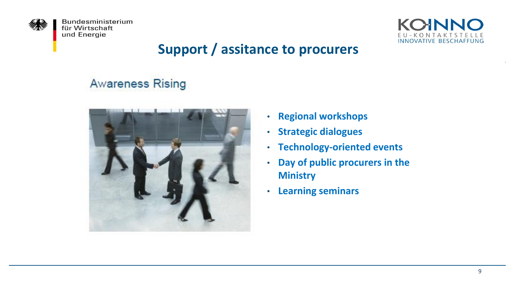



# **Support / assitance to procurers**

# **Awareness Rising**



- **Regional workshops**
- **Strategic dialogues**
- **Technology-oriented events**
- **Day of public procurers in the Ministry**
- **Learning seminars**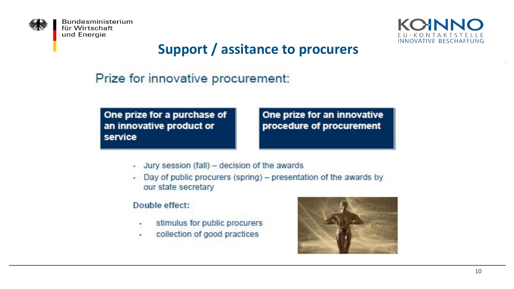



# **Support / assitance to procurers**

#### Prize for innovative procurement:

One prize for a purchase of an innovative product or service

One prize for an innovative procedure of procurement

- Jury session (fall) decision of the awards
- Day of public procurers (spring) presentation of the awards by our state secretary

#### Double effect:

- stimulus for public procurers ٠
- collection of good practices

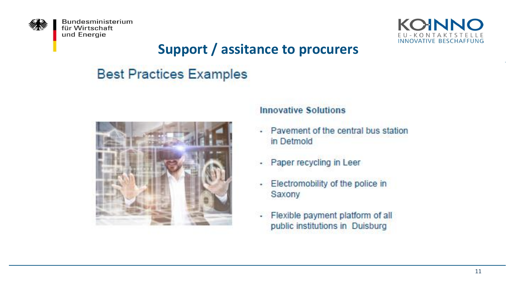



# **Support / assitance to procurers**

# **Best Practices Examples**



#### **Innovative Solutions**

- Payement of the central bus station in Detmold
- Paper recycling in Leer
- Electromobility of the police in Saxony
- Flexible payment platform of all ٠ public institutions in Duisburg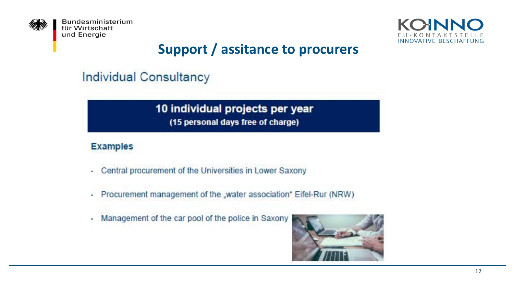



# **Support / assitance to procurers**

**Individual Consultancy** 

#### 10 individual projects per year (15 personal days free of charge)

#### **Examples**

- Central procurement of the Universities in Lower Saxony ×.
- Procurement management of the "water association" Eifel-Rur (NRW) ¥.
- Management of the car pool of the police in Saxony ×.

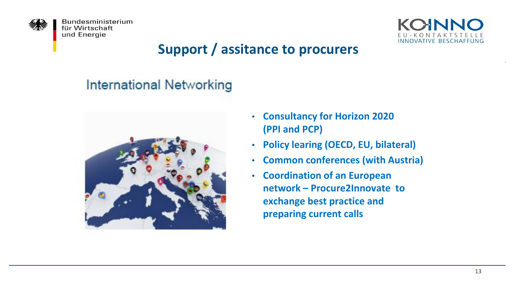



# **Support / assitance to procurers**

#### **International Networking**



- **Consultancy for Horizon 2020 (PPI and PCP)**
- **Policy learing (OECD, EU, bilateral)**
- **Common conferences (with Austria)**
- **Coordination of an European network – Procure2Innovate to exchange best practice and preparing current calls**